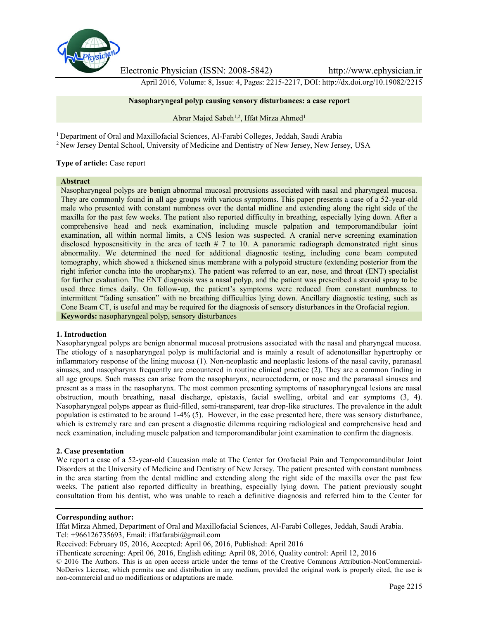

Electronic Physician (ISSN: 2008-5842) http://www.ephysician.ir

April 2016, Volume: 8, Issue: 4, Pages: 2215-2217, DOI: http://dx.doi.org/10.19082/2215

**Nasopharyngeal polyp causing sensory disturbances: a case report**

Abrar Majed Sabeh<sup>1,2</sup>, Iffat Mirza Ahmed<sup>1</sup>

<sup>1</sup> Department of Oral and Maxillofacial Sciences, Al-Farabi Colleges, Jeddah, Saudi Arabia

<sup>2</sup> New Jersey Dental School, University of Medicine and Dentistry of New Jersey, New Jersey, USA

## **Type of article:** Case report

#### **Abstract**

Nasopharyngeal polyps are benign abnormal mucosal protrusions associated with nasal and pharyngeal mucosa. They are commonly found in all age groups with various symptoms. This paper presents a case of a 52-year-old male who presented with constant numbness over the dental midline and extending along the right side of the maxilla for the past few weeks. The patient also reported difficulty in breathing, especially lying down. After a comprehensive head and neck examination, including muscle palpation and temporomandibular joint examination, all within normal limits, a CNS lesion was suspected. A cranial nerve screening examination disclosed hyposensitivity in the area of teeth # 7 to 10. A panoramic radiograph demonstrated right sinus abnormality. We determined the need for additional diagnostic testing, including cone beam computed tomography, which showed a thickened sinus membrane with a polypoid structure (extending posterior from the right inferior concha into the oropharynx). The patient was referred to an ear, nose, and throat (ENT) specialist for further evaluation. The ENT diagnosis was a nasal polyp, and the patient was prescribed a steroid spray to be used three times daily. On follow-up, the patient's symptoms were reduced from constant numbness to intermittent "fading sensation" with no breathing difficulties lying down. Ancillary diagnostic testing, such as Cone Beam CT, is useful and may be required for the diagnosis of sensory disturbances in the Orofacial region. **Keywords:** nasopharyngeal polyp, sensory disturbances

#### **1. Introduction**

Nasopharyngeal polyps are benign abnormal mucosal protrusions associated with the nasal and pharyngeal mucosa. The etiology of a nasopharyngeal polyp is multifactorial and is mainly a result of adenotonsillar hypertrophy or inflammatory response of the lining mucosa (1). Non-neoplastic and neoplastic lesions of the nasal cavity, paranasal sinuses, and nasopharynx frequently are encountered in routine clinical practice (2). They are a common finding in all age groups. Such masses can arise from the nasopharynx, neuroectoderm, or nose and the paranasal sinuses and present as a mass in the nasopharynx. The most common presenting symptoms of nasopharyngeal lesions are nasal obstruction, mouth breathing, nasal discharge, epistaxis, facial swelling, orbital and ear symptoms (3, 4). Nasopharyngeal polyps appear as fluid-filled, semi-transparent, tear drop-like structures. The prevalence in the adult population is estimated to be around 1-4% (5). However, in the case presented here, there was sensory disturbance, which is extremely rare and can present a diagnostic dilemma requiring radiological and comprehensive head and neck examination, including muscle palpation and temporomandibular joint examination to confirm the diagnosis.

#### **2. Case presentation**

We report a case of a 52-year-old Caucasian male at The Center for Orofacial Pain and Temporomandibular Joint Disorders at the University of Medicine and Dentistry of New Jersey. The patient presented with constant numbness in the area starting from the dental midline and extending along the right side of the maxilla over the past few weeks. The patient also reported difficulty in breathing, especially lying down. The patient previously sought consultation from his dentist, who was unable to reach a definitive diagnosis and referred him to the Center for

## **Corresponding author:**

Iffat Mirza Ahmed, Department of Oral and Maxillofacial Sciences, Al-Farabi Colleges, Jeddah, Saudi Arabia. Tel: +966126735693, Email: iffatfarabi@gmail.com

Received: February 05, 2016, Accepted: April 06, 2016, Published: April 2016

iThenticate screening: April 06, 2016, English editing: April 08, 2016, Quality control: April 12, 2016

© 2016 The Authors. This is an open access article under the terms of the Creative Commons Attribution-NonCommercial- NoDerivs License, which permits use and distribution in any medium, provided the original work is properly cited, the use is non-commercial and no modifications or adaptations are made.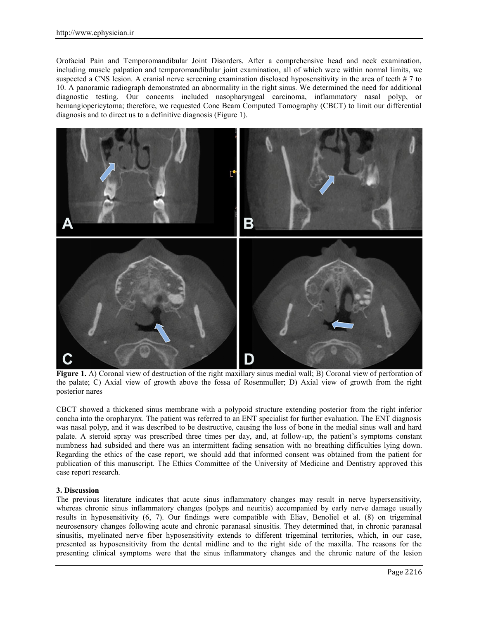Orofacial Pain and Temporomandibular Joint Disorders. After a comprehensive head and neck examination, including muscle palpation and temporomandibular joint examination, all of which were within normal limits, we suspected a CNS lesion. A cranial nerve screening examination disclosed hyposensitivity in the area of teeth # 7 to 10. A panoramic radiograph demonstrated an abnormality in the right sinus. We determined the need for additional diagnostic testing. Our concerns included nasopharyngeal carcinoma, inflammatory nasal polyp, or hemangiopericytoma; therefore, we requested Cone Beam Computed Tomography (CBCT) to limit our differential diagnosis and to direct us to a definitive diagnosis (Figure 1).



**Figure 1.** A) Coronal view of destruction of the right maxillary sinus medial wall; B) Coronal view of perforation of the palate; C) Axial view of growth above the fossa of Rosenmuller; D) Axial view of growth from the right posterior nares

CBCT showed a thickened sinus membrane with a polypoid structure extending posterior from the right inferior concha into the oropharynx. The patient was referred to an ENT specialist for further evaluation. The ENT diagnosis was nasal polyp, and it was described to be destructive, causing the loss of bone in the medial sinus wall and hard palate. A steroid spray was prescribed three times per day, and, at follow-up, the patient's symptoms constant numbness had subsided and there was an intermittent fading sensation with no breathing difficulties lying down. Regarding the ethics of the case report, we should add that informed consent was obtained from the patient for publication of this manuscript. The Ethics Committee of the University of Medicine and Dentistry approved this case report research.

# **3. Discussion**

The previous literature indicates that acute sinus inflammatory changes may result in nerve hypersensitivity, whereas chronic sinus inflammatory changes (polyps and neuritis) accompanied by early nerve damage usually results in hyposensitivity (6, 7). Our findings were compatible with Eliav, Benoliel et al. (8) on trigeminal neurosensory changes following acute and chronic paranasal sinusitis. They determined that, in chronic paranasal sinusitis, myelinated nerve fiber hyposensitivity extends to different trigeminal territories, which, in our case, presented as hyposensitivity from the dental midline and to the right side of the maxilla. The reasons for the presenting clinical symptoms were that the sinus inflammatory changes and the chronic nature of the lesion